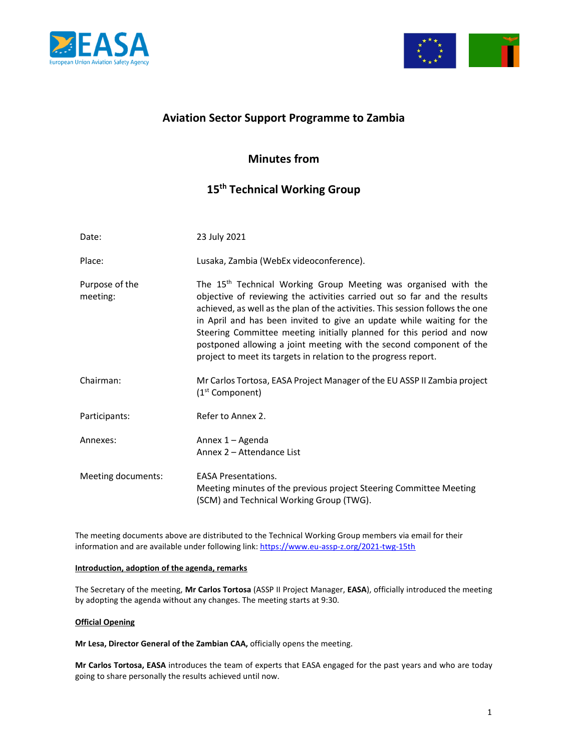



# **Aviation Sector Support Programme to Zambia**

# **Minutes from**

# **15th Technical Working Group**

| Date:                      | 23 July 2021                                                                                                                                                                                                                                                                                                                                                                                                                                                                                                                        |
|----------------------------|-------------------------------------------------------------------------------------------------------------------------------------------------------------------------------------------------------------------------------------------------------------------------------------------------------------------------------------------------------------------------------------------------------------------------------------------------------------------------------------------------------------------------------------|
| Place:                     | Lusaka, Zambia (WebEx videoconference).                                                                                                                                                                                                                                                                                                                                                                                                                                                                                             |
| Purpose of the<br>meeting: | The 15 <sup>th</sup> Technical Working Group Meeting was organised with the<br>objective of reviewing the activities carried out so far and the results<br>achieved, as well as the plan of the activities. This session follows the one<br>in April and has been invited to give an update while waiting for the<br>Steering Committee meeting initially planned for this period and now<br>postponed allowing a joint meeting with the second component of the<br>project to meet its targets in relation to the progress report. |
| Chairman:                  | Mr Carlos Tortosa, EASA Project Manager of the EU ASSP II Zambia project<br>(1 <sup>st</sup> Component)                                                                                                                                                                                                                                                                                                                                                                                                                             |
| Participants:              | Refer to Annex 2.                                                                                                                                                                                                                                                                                                                                                                                                                                                                                                                   |
| Annexes:                   | Annex 1 - Agenda<br>Annex 2 - Attendance List                                                                                                                                                                                                                                                                                                                                                                                                                                                                                       |
| Meeting documents:         | <b>EASA Presentations.</b><br>Meeting minutes of the previous project Steering Committee Meeting<br>(SCM) and Technical Working Group (TWG).                                                                                                                                                                                                                                                                                                                                                                                        |

The meeting documents above are distributed to the Technical Working Group members via email for their information and are available under following link: https://www.eu-assp-z.org/2021-twg-15th

### **Introduction, adoption of the agenda, remarks**

The Secretary of the meeting, **Mr Carlos Tortosa** (ASSP II Project Manager, **EASA**), officially introduced the meeting by adopting the agenda without any changes. The meeting starts at 9:30.

## **Official Opening**

**Mr Lesa, Director General of the Zambian CAA,** officially opens the meeting.

**Mr Carlos Tortosa, EASA** introduces the team of experts that EASA engaged for the past years and who are today going to share personally the results achieved until now.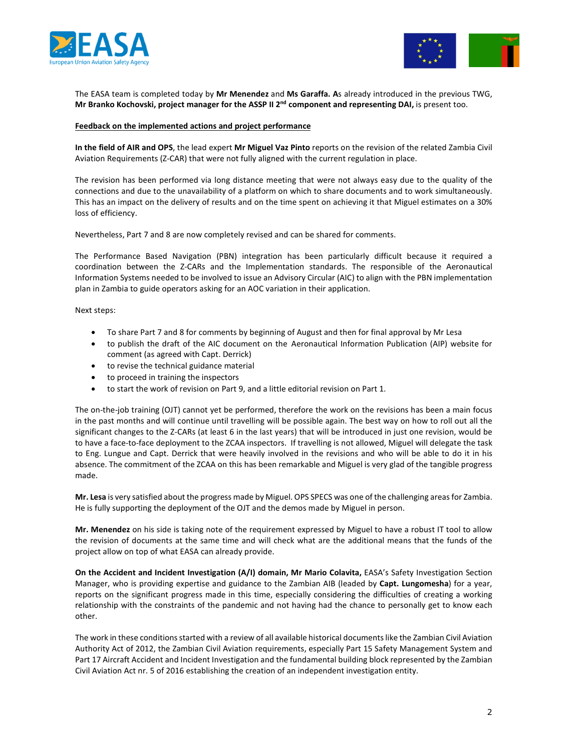



The EASA team is completed today by **Mr Menendez** and **Ms Garaffa. A**s already introduced in the previous TWG, **Mr Branko Kochovski, project manager for the ASSP II 2nd component and representing DAI,** is present too.

#### **Feedback on the implemented actions and project performance**

**In the field of AIR and OPS**, the lead expert **Mr Miguel Vaz Pinto** reports on the revision of the related Zambia Civil Aviation Requirements (Z-CAR) that were not fully aligned with the current regulation in place.

The revision has been performed via long distance meeting that were not always easy due to the quality of the connections and due to the unavailability of a platform on which to share documents and to work simultaneously. This has an impact on the delivery of results and on the time spent on achieving it that Miguel estimates on a 30% loss of efficiency.

Nevertheless, Part 7 and 8 are now completely revised and can be shared for comments.

The Performance Based Navigation (PBN) integration has been particularly difficult because it required a coordination between the Z-CARs and the Implementation standards. The responsible of the Aeronautical Information Systems needed to be involved to issue an Advisory Circular (AIC) to align with the PBN implementation plan in Zambia to guide operators asking for an AOC variation in their application.

Next steps:

- To share Part 7 and 8 for comments by beginning of August and then for final approval by Mr Lesa
- to publish the draft of the AIC document on the Aeronautical Information Publication (AIP) website for comment (as agreed with Capt. Derrick)
- to revise the technical guidance material
- to proceed in training the inspectors
- to start the work of revision on Part 9, and a little editorial revision on Part 1.

The on-the-job training (OJT) cannot yet be performed, therefore the work on the revisions has been a main focus in the past months and will continue until travelling will be possible again. The best way on how to roll out all the significant changes to the Z-CARs (at least 6 in the last years) that will be introduced in just one revision, would be to have a face-to-face deployment to the ZCAA inspectors. If travelling is not allowed, Miguel will delegate the task to Eng. Lungue and Capt. Derrick that were heavily involved in the revisions and who will be able to do it in his absence. The commitment of the ZCAA on this has been remarkable and Miguel is very glad of the tangible progress made.

**Mr. Lesa** is very satisfied about the progress made by Miguel. OPS SPECS was one of the challenging areas for Zambia. He is fully supporting the deployment of the OJT and the demos made by Miguel in person.

**Mr. Menendez** on his side is taking note of the requirement expressed by Miguel to have a robust IT tool to allow the revision of documents at the same time and will check what are the additional means that the funds of the project allow on top of what EASA can already provide.

**On the Accident and Incident Investigation (A/I) domain, Mr Mario Colavita,** EASA's Safety Investigation Section Manager, who is providing expertise and guidance to the Zambian AIB (leaded by **Capt. Lungomesha**) for a year, reports on the significant progress made in this time, especially considering the difficulties of creating a working relationship with the constraints of the pandemic and not having had the chance to personally get to know each other.

The work in these conditions started with a review of all available historical documents like the Zambian Civil Aviation Authority Act of 2012, the Zambian Civil Aviation requirements, especially Part 15 Safety Management System and Part 17 Aircraft Accident and Incident Investigation and the fundamental building block represented by the Zambian Civil Aviation Act nr. 5 of 2016 establishing the creation of an independent investigation entity.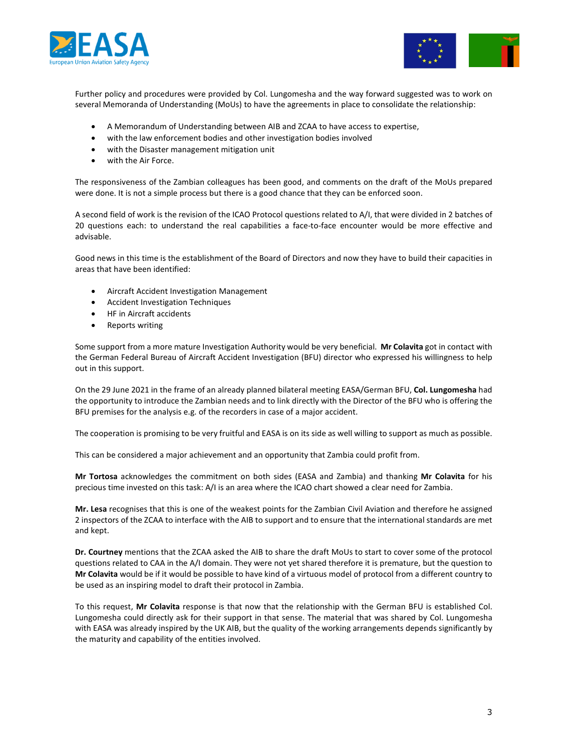



Further policy and procedures were provided by Col. Lungomesha and the way forward suggested was to work on several Memoranda of Understanding (MoUs) to have the agreements in place to consolidate the relationship:

- A Memorandum of Understanding between AIB and ZCAA to have access to expertise,
- with the law enforcement bodies and other investigation bodies involved
- with the Disaster management mitigation unit
- with the Air Force.

The responsiveness of the Zambian colleagues has been good, and comments on the draft of the MoUs prepared were done. It is not a simple process but there is a good chance that they can be enforced soon.

A second field of work is the revision of the ICAO Protocol questions related to A/I, that were divided in 2 batches of 20 questions each: to understand the real capabilities a face-to-face encounter would be more effective and advisable.

Good news in this time is the establishment of the Board of Directors and now they have to build their capacities in areas that have been identified:

- Aircraft Accident Investigation Management
- Accident Investigation Techniques
- HF in Aircraft accidents
- Reports writing

Some support from a more mature Investigation Authority would be very beneficial. **Mr Colavita** got in contact with the German Federal Bureau of Aircraft Accident Investigation (BFU) director who expressed his willingness to help out in this support.

On the 29 June 2021 in the frame of an already planned bilateral meeting EASA/German BFU, **Col. Lungomesha** had the opportunity to introduce the Zambian needs and to link directly with the Director of the BFU who is offering the BFU premises for the analysis e.g. of the recorders in case of a major accident.

The cooperation is promising to be very fruitful and EASA is on its side as well willing to support as much as possible.

This can be considered a major achievement and an opportunity that Zambia could profit from.

**Mr Tortosa** acknowledges the commitment on both sides (EASA and Zambia) and thanking **Mr Colavita** for his precious time invested on this task: A/I is an area where the ICAO chart showed a clear need for Zambia.

**Mr. Lesa** recognises that this is one of the weakest points for the Zambian Civil Aviation and therefore he assigned 2 inspectors of the ZCAA to interface with the AIB to support and to ensure that the international standards are met and kept.

**Dr. Courtney** mentions that the ZCAA asked the AIB to share the draft MoUs to start to cover some of the protocol questions related to CAA in the A/I domain. They were not yet shared therefore it is premature, but the question to **Mr Colavita** would be if it would be possible to have kind of a virtuous model of protocol from a different country to be used as an inspiring model to draft their protocol in Zambia.

To this request, **Mr Colavita** response is that now that the relationship with the German BFU is established Col. Lungomesha could directly ask for their support in that sense. The material that was shared by Col. Lungomesha with EASA was already inspired by the UK AIB, but the quality of the working arrangements depends significantly by the maturity and capability of the entities involved.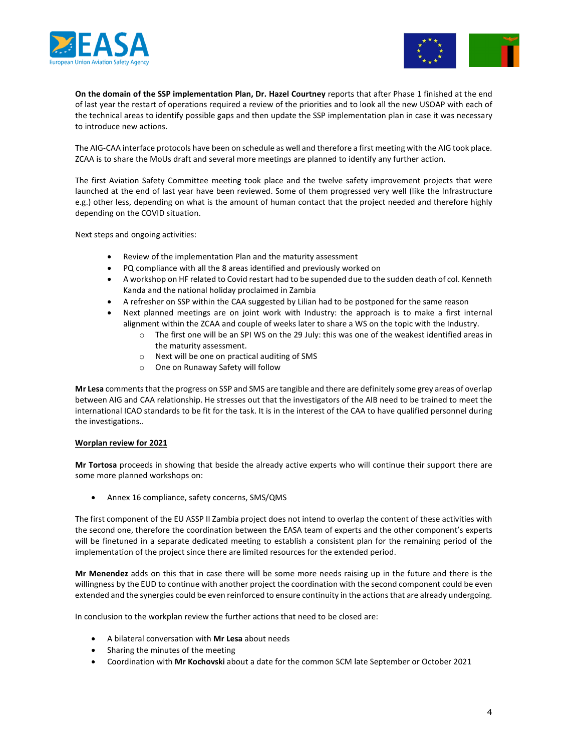



**On the domain of the SSP implementation Plan, Dr. Hazel Courtney** reports that after Phase 1 finished at the end of last year the restart of operations required a review of the priorities and to look all the new USOAP with each of the technical areas to identify possible gaps and then update the SSP implementation plan in case it was necessary to introduce new actions.

The AIG-CAA interface protocols have been on schedule as well and therefore a first meeting with the AIG took place. ZCAA is to share the MoUs draft and several more meetings are planned to identify any further action.

The first Aviation Safety Committee meeting took place and the twelve safety improvement projects that were launched at the end of last year have been reviewed. Some of them progressed very well (like the Infrastructure e.g.) other less, depending on what is the amount of human contact that the project needed and therefore highly depending on the COVID situation.

Next steps and ongoing activities:

- Review of the implementation Plan and the maturity assessment
- PQ compliance with all the 8 areas identified and previously worked on
- A workshop on HF related to Covid restart had to be supended due to the sudden death of col. Kenneth Kanda and the national holiday proclaimed in Zambia
- A refresher on SSP within the CAA suggested by Lilian had to be postponed for the same reason
- Next planned meetings are on joint work with Industry: the approach is to make a first internal alignment within the ZCAA and couple of weeks later to share a WS on the topic with the Industry.
	- The first one will be an SPI WS on the 29 July: this was one of the weakest identified areas in the maturity assessment.
	- o Next will be one on practical auditing of SMS
	- o One on Runaway Safety will follow

**Mr Lesa** comments that the progress on SSP and SMS are tangible and there are definitely some grey areas of overlap between AIG and CAA relationship. He stresses out that the investigators of the AIB need to be trained to meet the international ICAO standards to be fit for the task. It is in the interest of the CAA to have qualified personnel during the investigations..

#### **Worplan review for 2021**

**Mr Tortosa** proceeds in showing that beside the already active experts who will continue their support there are some more planned workshops on:

Annex 16 compliance, safety concerns, SMS/QMS

The first component of the EU ASSP II Zambia project does not intend to overlap the content of these activities with the second one, therefore the coordination between the EASA team of experts and the other component's experts will be finetuned in a separate dedicated meeting to establish a consistent plan for the remaining period of the implementation of the project since there are limited resources for the extended period.

**Mr Menendez** adds on this that in case there will be some more needs raising up in the future and there is the willingness by the EUD to continue with another project the coordination with the second component could be even extended and the synergies could be even reinforced to ensure continuity in the actions that are already undergoing.

In conclusion to the workplan review the further actions that need to be closed are:

- A bilateral conversation with **Mr Lesa** about needs
- Sharing the minutes of the meeting
- Coordination with **Mr Kochovski** about a date for the common SCM late September or October 2021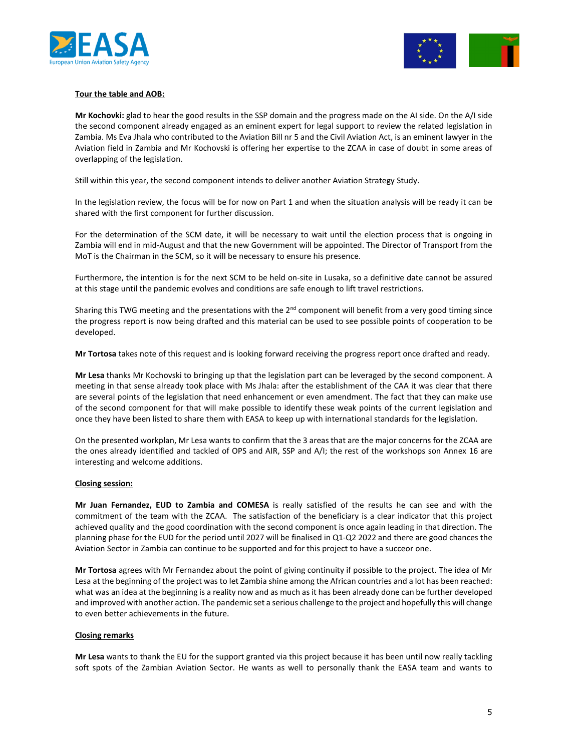



### **Tour the table and AOB:**

**Mr Kochovki:** glad to hear the good results in the SSP domain and the progress made on the AI side. On the A/I side the second component already engaged as an eminent expert for legal support to review the related legislation in Zambia. Ms Eva Jhala who contributed to the Aviation Bill nr 5 and the Civil Aviation Act, is an eminent lawyer in the Aviation field in Zambia and Mr Kochovski is offering her expertise to the ZCAA in case of doubt in some areas of overlapping of the legislation.

Still within this year, the second component intends to deliver another Aviation Strategy Study.

In the legislation review, the focus will be for now on Part 1 and when the situation analysis will be ready it can be shared with the first component for further discussion.

For the determination of the SCM date, it will be necessary to wait until the election process that is ongoing in Zambia will end in mid-August and that the new Government will be appointed. The Director of Transport from the MoT is the Chairman in the SCM, so it will be necessary to ensure his presence.

Furthermore, the intention is for the next SCM to be held on-site in Lusaka, so a definitive date cannot be assured at this stage until the pandemic evolves and conditions are safe enough to lift travel restrictions.

Sharing this TWG meeting and the presentations with the  $2<sup>nd</sup>$  component will benefit from a very good timing since the progress report is now being drafted and this material can be used to see possible points of cooperation to be developed.

**Mr Tortosa** takes note of this request and is looking forward receiving the progress report once drafted and ready.

**Mr Lesa** thanks Mr Kochovski to bringing up that the legislation part can be leveraged by the second component. A meeting in that sense already took place with Ms Jhala: after the establishment of the CAA it was clear that there are several points of the legislation that need enhancement or even amendment. The fact that they can make use of the second component for that will make possible to identify these weak points of the current legislation and once they have been listed to share them with EASA to keep up with international standards for the legislation.

On the presented workplan, Mr Lesa wants to confirm that the 3 areas that are the major concerns for the ZCAA are the ones already identified and tackled of OPS and AIR, SSP and A/I; the rest of the workshops son Annex 16 are interesting and welcome additions.

#### **Closing session:**

**Mr Juan Fernandez, EUD to Zambia and COMESA** is really satisfied of the results he can see and with the commitment of the team with the ZCAA. The satisfaction of the beneficiary is a clear indicator that this project achieved quality and the good coordination with the second component is once again leading in that direction. The planning phase for the EUD for the period until 2027 will be finalised in Q1-Q2 2022 and there are good chances the Aviation Sector in Zambia can continue to be supported and for this project to have a succeor one.

**Mr Tortosa** agrees with Mr Fernandez about the point of giving continuity if possible to the project. The idea of Mr Lesa at the beginning of the project was to let Zambia shine among the African countries and a lot has been reached: what was an idea at the beginning is a reality now and as much as it has been already done can be further developed and improved with another action. The pandemic set a serious challenge to the project and hopefully this will change to even better achievements in the future.

#### **Closing remarks**

**Mr Lesa** wants to thank the EU for the support granted via this project because it has been until now really tackling soft spots of the Zambian Aviation Sector. He wants as well to personally thank the EASA team and wants to